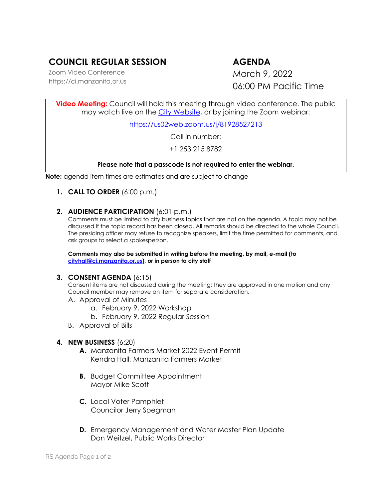# **COUNCIL REGULAR SESSION AGENDA**

Zoom Video Conference https://ci.manzanita.or.us

March 9, 2022 06:00 PM Pacific Time

**Video Meeting:** Council will hold this meeting through video conference. The public may watch live on the [City Website,](https://ci.manzanita.or.us/broadcast) or by joining the Zoom webinar:

<https://us02web.zoom.us/j/81928527213>

Call in number:

+1 253 215 8782

#### **Please note that a passcode is not required to enter the webinar.**

**Note:** agenda item times are estimates and are subject to change

### **1. CALL TO ORDER** (6:00 p.m.)

**2. AUDIENCE PARTICIPATION** (6:01 p.m.)

Comments must be limited to city business topics that are not on the agenda. A topic may not be discussed if the topic record has been closed. All remarks should be directed to the whole Council. The presiding officer may refuse to recognize speakers, limit the time permitted for comments, and ask groups to select a spokesperson.

**Comments may also be submitted in writing before the meeting, by mail, e-mail (to [cityhall@ci.manzanita.or.us\)](mailto:cityhall@ci.manzanita.or.us), or in person to city staff**

#### **3. CONSENT AGENDA** (6:15)

Consent items are not discussed during the meeting; they are approved in one motion and any Council member may remove an item for separate consideration.

- A. Approval of Minutes
	- a. February 9, 2022 Workshop
	- b. February 9, 2022 Regular Session
- B. Approval of Bills
- **4. NEW BUSINESS** (6:20)
	- **A.** Manzanita Farmers Market 2022 Event Permit Kendra Hall, Manzanita Farmers Market
	- **B.** Budget Committee Appointment Mayor Mike Scott
	- **C.** Local Voter Pamphlet Councilor Jerry Spegman
	- **D.** Emergency Management and Water Master Plan Update Dan Weitzel, Public Works Director